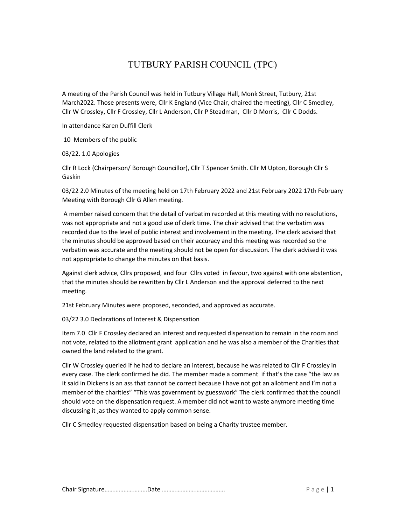# TUTBURY PARISH COUNCIL (TPC)

A meeting of the Parish Council was held in Tutbury Village Hall, Monk Street, Tutbury, 21st March2022. Those presents were, Cllr K England (Vice Chair, chaired the meeting), Cllr C Smedley, Cllr W Crossley, Cllr F Crossley, Cllr L Anderson, Cllr P Steadman, Cllr D Morris, Cllr C Dodds.

In attendance Karen Duffill Clerk

10 Members of the public

03/22. 1.0 Apologies

Cllr R Lock (Chairperson/ Borough Councillor), Cllr T Spencer Smith. Cllr M Upton, Borough Cllr S Gaskin

03/22 2.0 Minutes of the meeting held on 17th February 2022 and 21st February 2022 17th February Meeting with Borough Cllr G Allen meeting.

 A member raised concern that the detail of verbatim recorded at this meeting with no resolutions, was not appropriate and not a good use of clerk time. The chair advised that the verbatim was recorded due to the level of public interest and involvement in the meeting. The clerk advised that the minutes should be approved based on their accuracy and this meeting was recorded so the verbatim was accurate and the meeting should not be open for discussion. The clerk advised it was not appropriate to change the minutes on that basis.

Against clerk advice, Cllrs proposed, and four Cllrs voted in favour, two against with one abstention, that the minutes should be rewritten by Cllr L Anderson and the approval deferred to the next meeting.

21st February Minutes were proposed, seconded, and approved as accurate.

03/22 3.0 Declarations of Interest & Dispensation

Item 7.0 Cllr F Crossley declared an interest and requested dispensation to remain in the room and not vote, related to the allotment grant application and he was also a member of the Charities that owned the land related to the grant.

Cllr W Crossley queried if he had to declare an interest, because he was related to Cllr F Crossley in every case. The clerk confirmed he did. The member made a comment if that's the case "the law as it said in Dickens is an ass that cannot be correct because I have not got an allotment and I'm not a member of the charities" "This was government by guesswork" The clerk confirmed that the council should vote on the dispensation request. A member did not want to waste anymore meeting time discussing it ,as they wanted to apply common sense.

Cllr C Smedley requested dispensation based on being a Charity trustee member.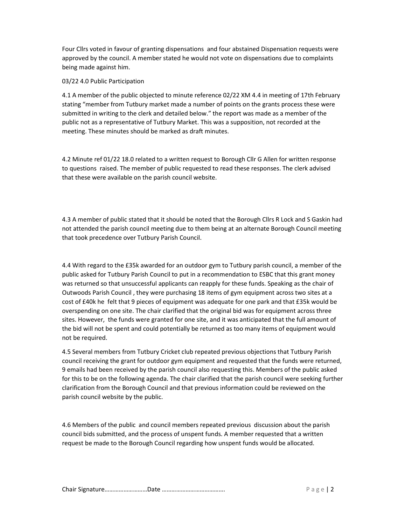Four Cllrs voted in favour of granting dispensations and four abstained Dispensation requests were approved by the council. A member stated he would not vote on dispensations due to complaints being made against him.

## 03/22 4.0 Public Participation

4.1 A member of the public objected to minute reference 02/22 XM 4.4 in meeting of 17th February stating "member from Tutbury market made a number of points on the grants process these were submitted in writing to the clerk and detailed below." the report was made as a member of the public not as a representative of Tutbury Market. This was a supposition, not recorded at the meeting. These minutes should be marked as draft minutes.

4.2 Minute ref 01/22 18.0 related to a written request to Borough Cllr G Allen for written response to questions raised. The member of public requested to read these responses. The clerk advised that these were available on the parish council website.

4.3 A member of public stated that it should be noted that the Borough Cllrs R Lock and S Gaskin had not attended the parish council meeting due to them being at an alternate Borough Council meeting that took precedence over Tutbury Parish Council.

4.4 With regard to the £35k awarded for an outdoor gym to Tutbury parish council, a member of the public asked for Tutbury Parish Council to put in a recommendation to ESBC that this grant money was returned so that unsuccessful applicants can reapply for these funds. Speaking as the chair of Outwoods Parish Council , they were purchasing 18 items of gym equipment across two sites at a cost of £40k he felt that 9 pieces of equipment was adequate for one park and that £35k would be overspending on one site. The chair clarified that the original bid was for equipment across three sites. However, the funds were granted for one site, and it was anticipated that the full amount of the bid will not be spent and could potentially be returned as too many items of equipment would not be required.

4.5 Several members from Tutbury Cricket club repeated previous objections that Tutbury Parish council receiving the grant for outdoor gym equipment and requested that the funds were returned, 9 emails had been received by the parish council also requesting this. Members of the public asked for this to be on the following agenda. The chair clarified that the parish council were seeking further clarification from the Borough Council and that previous information could be reviewed on the parish council website by the public.

4.6 Members of the public and council members repeated previous discussion about the parish council bids submitted, and the process of unspent funds. A member requested that a written request be made to the Borough Council regarding how unspent funds would be allocated.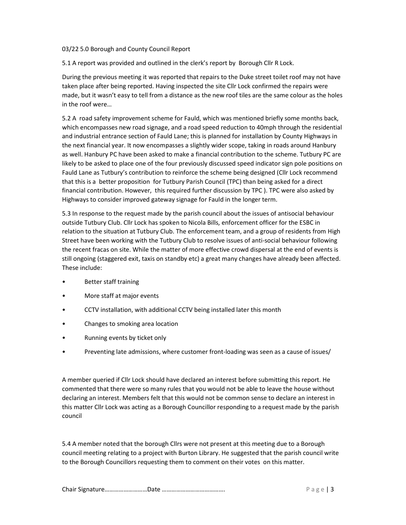#### 03/22 5.0 Borough and County Council Report

5.1 A report was provided and outlined in the clerk's report by Borough Cllr R Lock.

During the previous meeting it was reported that repairs to the Duke street toilet roof may not have taken place after being reported. Having inspected the site Cllr Lock confirmed the repairs were made, but it wasn't easy to tell from a distance as the new roof tiles are the same colour as the holes in the roof were…

5.2 A road safety improvement scheme for Fauld, which was mentioned briefly some months back, which encompasses new road signage, and a road speed reduction to 40mph through the residential and industrial entrance section of Fauld Lane; this is planned for installation by County Highways in the next financial year. It now encompasses a slightly wider scope, taking in roads around Hanbury as well. Hanbury PC have been asked to make a financial contribution to the scheme. Tutbury PC are likely to be asked to place one of the four previously discussed speed indicator sign pole positions on Fauld Lane as Tutbury's contribution to reinforce the scheme being designed (Cllr Lock recommend that this is a better proposition for Tutbury Parish Council (TPC) than being asked for a direct financial contribution. However, this required further discussion by TPC ). TPC were also asked by Highways to consider improved gateway signage for Fauld in the longer term.

5.3 In response to the request made by the parish council about the issues of antisocial behaviour outside Tutbury Club. Cllr Lock has spoken to Nicola Bills, enforcement officer for the ESBC in relation to the situation at Tutbury Club. The enforcement team, and a group of residents from High Street have been working with the Tutbury Club to resolve issues of anti-social behaviour following the recent fracas on site. While the matter of more effective crowd dispersal at the end of events is still ongoing (staggered exit, taxis on standby etc) a great many changes have already been affected. These include:

- Better staff training
- More staff at major events
- CCTV installation, with additional CCTV being installed later this month
- Changes to smoking area location
- Running events by ticket only
- Preventing late admissions, where customer front-loading was seen as a cause of issues/

A member queried if Cllr Lock should have declared an interest before submitting this report. He commented that there were so many rules that you would not be able to leave the house without declaring an interest. Members felt that this would not be common sense to declare an interest in this matter Cllr Lock was acting as a Borough Councillor responding to a request made by the parish council

5.4 A member noted that the borough Cllrs were not present at this meeting due to a Borough council meeting relating to a project with Burton Library. He suggested that the parish council write to the Borough Councillors requesting them to comment on their votes on this matter.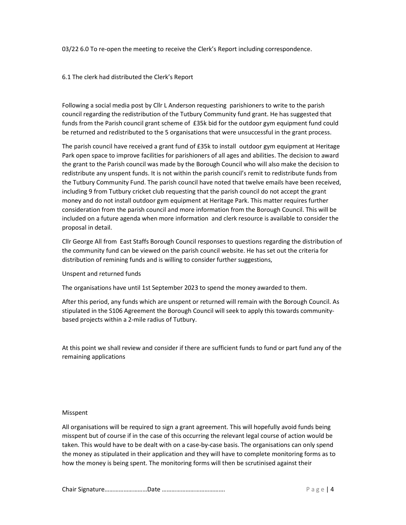03/22 6.0 To re-open the meeting to receive the Clerk's Report including correspondence.

#### 6.1 The clerk had distributed the Clerk's Report

Following a social media post by Cllr L Anderson requesting parishioners to write to the parish council regarding the redistribution of the Tutbury Community fund grant. He has suggested that funds from the Parish council grant scheme of £35k bid for the outdoor gym equipment fund could be returned and redistributed to the 5 organisations that were unsuccessful in the grant process.

The parish council have received a grant fund of £35k to install outdoor gym equipment at Heritage Park open space to improve facilities for parishioners of all ages and abilities. The decision to award the grant to the Parish council was made by the Borough Council who will also make the decision to redistribute any unspent funds. It is not within the parish council's remit to redistribute funds from the Tutbury Community Fund. The parish council have noted that twelve emails have been received, including 9 from Tutbury cricket club requesting that the parish council do not accept the grant money and do not install outdoor gym equipment at Heritage Park. This matter requires further consideration from the parish council and more information from the Borough Council. This will be included on a future agenda when more information and clerk resource is available to consider the proposal in detail.

Cllr George All from East Staffs Borough Council responses to questions regarding the distribution of the community fund can be viewed on the parish council website. He has set out the criteria for distribution of remining funds and is willing to consider further suggestions,

#### Unspent and returned funds

The organisations have until 1st September 2023 to spend the money awarded to them.

After this period, any funds which are unspent or returned will remain with the Borough Council. As stipulated in the S106 Agreement the Borough Council will seek to apply this towards communitybased projects within a 2-mile radius of Tutbury.

At this point we shall review and consider if there are sufficient funds to fund or part fund any of the remaining applications

#### Misspent

All organisations will be required to sign a grant agreement. This will hopefully avoid funds being misspent but of course if in the case of this occurring the relevant legal course of action would be taken. This would have to be dealt with on a case-by-case basis. The organisations can only spend the money as stipulated in their application and they will have to complete monitoring forms as to how the money is being spent. The monitoring forms will then be scrutinised against their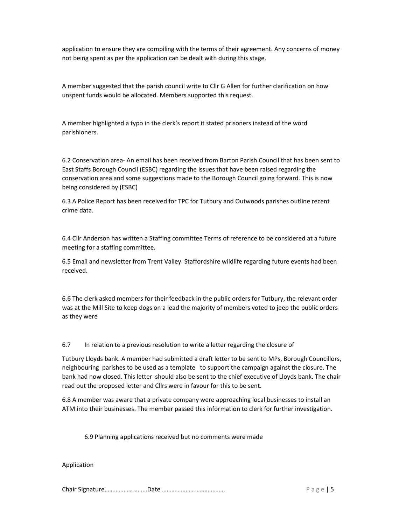application to ensure they are compiling with the terms of their agreement. Any concerns of money not being spent as per the application can be dealt with during this stage.

A member suggested that the parish council write to Cllr G Allen for further clarification on how unspent funds would be allocated. Members supported this request.

A member highlighted a typo in the clerk's report it stated prisoners instead of the word parishioners.

6.2 Conservation area- An email has been received from Barton Parish Council that has been sent to East Staffs Borough Council (ESBC) regarding the issues that have been raised regarding the conservation area and some suggestions made to the Borough Council going forward. This is now being considered by (ESBC)

6.3 A Police Report has been received for TPC for Tutbury and Outwoods parishes outline recent crime data.

6.4 Cllr Anderson has written a Staffing committee Terms of reference to be considered at a future meeting for a staffing committee.

6.5 Email and newsletter from Trent Valley Staffordshire wildlife regarding future events had been received.

6.6 The clerk asked members for their feedback in the public orders for Tutbury, the relevant order was at the Mill Site to keep dogs on a lead the majority of members voted to jeep the public orders as they were

6.7 In relation to a previous resolution to write a letter regarding the closure of

Tutbury Lloyds bank. A member had submitted a draft letter to be sent to MPs, Borough Councillors, neighbouring parishes to be used as a template to support the campaign against the closure. The bank had now closed. This letter should also be sent to the chief executive of Lloyds bank. The chair read out the proposed letter and Cllrs were in favour for this to be sent.

6.8 A member was aware that a private company were approaching local businesses to install an ATM into their businesses. The member passed this information to clerk for further investigation.

6.9 Planning applications received but no comments were made

Application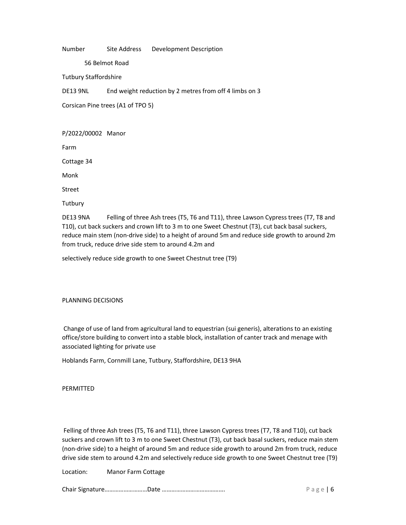Number Site Address Development Description

56 Belmot Road

Tutbury Staffordshire

DE13 9NL End weight reduction by 2 metres from off 4 limbs on 3

Corsican Pine trees (A1 of TPO 5)

P/2022/00002 Manor

Farm

Cottage 34

Monk

Street

**Tutbury** 

DE13 9NA Felling of three Ash trees (T5, T6 and T11), three Lawson Cypress trees (T7, T8 and T10), cut back suckers and crown lift to 3 m to one Sweet Chestnut (T3), cut back basal suckers, reduce main stem (non-drive side) to a height of around 5m and reduce side growth to around 2m from truck, reduce drive side stem to around 4.2m and

selectively reduce side growth to one Sweet Chestnut tree (T9)

#### PLANNING DECISIONS

 Change of use of land from agricultural land to equestrian (sui generis), alterations to an existing office/store building to convert into a stable block, installation of canter track and menage with associated lighting for private use

Hoblands Farm, Cornmill Lane, Tutbury, Staffordshire, DE13 9HA

PERMITTED

 Felling of three Ash trees (T5, T6 and T11), three Lawson Cypress trees (T7, T8 and T10), cut back suckers and crown lift to 3 m to one Sweet Chestnut (T3), cut back basal suckers, reduce main stem (non-drive side) to a height of around 5m and reduce side growth to around 2m from truck, reduce drive side stem to around 4.2m and selectively reduce side growth to one Sweet Chestnut tree (T9)

Location: Manor Farm Cottage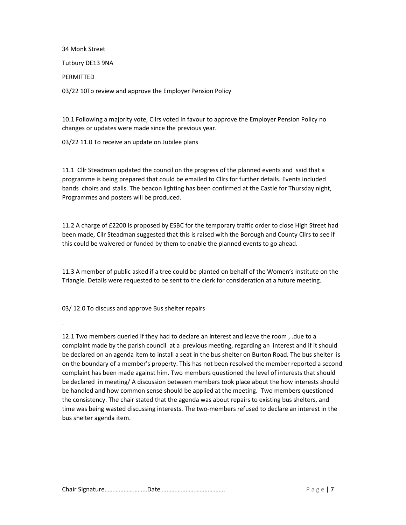34 Monk Street Tutbury DE13 9NA PERMITTED 03/22 10To review and approve the Employer Pension Policy

10.1 Following a majority vote, Cllrs voted in favour to approve the Employer Pension Policy no changes or updates were made since the previous year.

03/22 11.0 To receive an update on Jubilee plans

11.1 Cllr Steadman updated the council on the progress of the planned events and said that a programme is being prepared that could be emailed to Cllrs for further details. Events included bands choirs and stalls. The beacon lighting has been confirmed at the Castle for Thursday night, Programmes and posters will be produced.

11.2 A charge of £2200 is proposed by ESBC for the temporary traffic order to close High Street had been made, Cllr Steadman suggested that this is raised with the Borough and County Cllrs to see if this could be waivered or funded by them to enable the planned events to go ahead.

11.3 A member of public asked if a tree could be planted on behalf of the Women's Institute on the Triangle. Details were requested to be sent to the clerk for consideration at a future meeting.

03/ 12.0 To discuss and approve Bus shelter repairs

.

12.1 Two members queried if they had to declare an interest and leave the room , .due to a complaint made by the parish council at a previous meeting, regarding an interest and if it should be declared on an agenda item to install a seat in the bus shelter on Burton Road. The bus shelter is on the boundary of a member's property. This has not been resolved the member reported a second complaint has been made against him. Two members questioned the level of interests that should be declared in meeting/ A discussion between members took place about the how interests should be handled and how common sense should be applied at the meeting. Two members questioned the consistency. The chair stated that the agenda was about repairs to existing bus shelters, and time was being wasted discussing interests. The two-members refused to declare an interest in the bus shelter agenda item.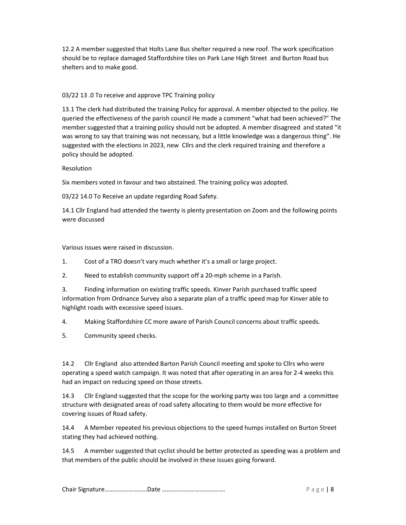12.2 A member suggested that Holts Lane Bus shelter required a new roof. The work specification should be to replace damaged Staffordshire tiles on Park Lane High Street and Burton Road bus shelters and to make good.

# 03/22 13 .0 To receive and approve TPC Training policy

13.1 The clerk had distributed the training Policy for approval. A member objected to the policy. He queried the effectiveness of the parish council He made a comment "what had been achieved?" The member suggested that a training policy should not be adopted. A member disagreed and stated "it was wrong to say that training was not necessary, but a little knowledge was a dangerous thing". He suggested with the elections in 2023, new Cllrs and the clerk required training and therefore a policy should be adopted.

#### Resolution

Six members voted in favour and two abstained. The training policy was adopted.

03/22 14.0 To Receive an update regarding Road Safety.

14.1 Cllr England had attended the twenty is plenty presentation on Zoom and the following points were discussed

Various issues were raised in discussion.

- 1. Cost of a TRO doesn't vary much whether it's a small or large project.
- 2. Need to establish community support off a 20-mph scheme in a Parish.

3. Finding information on existing traffic speeds. Kinver Parish purchased traffic speed information from Ordnance Survey also a separate plan of a traffic speed map for Kinver able to highlight roads with excessive speed issues.

4. Making Staffordshire CC more aware of Parish Council concerns about traffic speeds.

5. Community speed checks.

14.2 Cllr England also attended Barton Parish Council meeting and spoke to Cllrs who were operating a speed watch campaign. It was noted that after operating in an area for 2-4 weeks this had an impact on reducing speed on those streets.

14.3 Cllr England suggested that the scope for the working party was too large and a committee structure with designated areas of road safety allocating to them would be more effective for covering issues of Road safety.

14.4 A Member repeated his previous objections to the speed humps installed on Burton Street stating they had achieved nothing.

14.5 A member suggested that cyclist should be better protected as speeding was a problem and that members of the public should be involved in these issues going forward.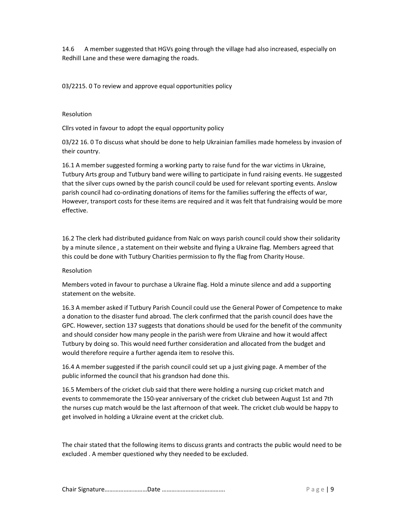14.6 A member suggested that HGVs going through the village had also increased, especially on Redhill Lane and these were damaging the roads.

03/2215. 0 To review and approve equal opportunities policy

## Resolution

Cllrs voted in favour to adopt the equal opportunity policy

03/22 16. 0 To discuss what should be done to help Ukrainian families made homeless by invasion of their country.

16.1 A member suggested forming a working party to raise fund for the war victims in Ukraine, Tutbury Arts group and Tutbury band were willing to participate in fund raising events. He suggested that the silver cups owned by the parish council could be used for relevant sporting events. Anslow parish council had co-ordinating donations of items for the families suffering the effects of war, However, transport costs for these items are required and it was felt that fundraising would be more effective.

16.2 The clerk had distributed guidance from Nalc on ways parish council could show their solidarity by a minute silence , a statement on their website and flying a Ukraine flag. Members agreed that this could be done with Tutbury Charities permission to fly the flag from Charity House.

#### Resolution

Members voted in favour to purchase a Ukraine flag. Hold a minute silence and add a supporting statement on the website.

16.3 A member asked if Tutbury Parish Council could use the General Power of Competence to make a donation to the disaster fund abroad. The clerk confirmed that the parish council does have the GPC. However, section 137 suggests that donations should be used for the benefit of the community and should consider how many people in the parish were from Ukraine and how it would affect Tutbury by doing so. This would need further consideration and allocated from the budget and would therefore require a further agenda item to resolve this.

16.4 A member suggested if the parish council could set up a just giving page. A member of the public informed the council that his grandson had done this.

16.5 Members of the cricket club said that there were holding a nursing cup cricket match and events to commemorate the 150-year anniversary of the cricket club between August 1st and 7th the nurses cup match would be the last afternoon of that week. The cricket club would be happy to get involved in holding a Ukraine event at the cricket club.

The chair stated that the following items to discuss grants and contracts the public would need to be excluded . A member questioned why they needed to be excluded.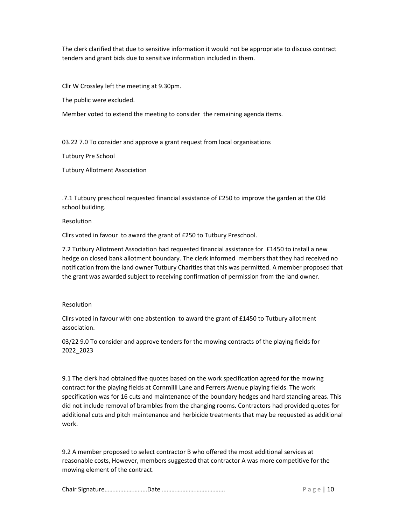The clerk clarified that due to sensitive information it would not be appropriate to discuss contract tenders and grant bids due to sensitive information included in them.

Cllr W Crossley left the meeting at 9.30pm.

The public were excluded.

Member voted to extend the meeting to consider the remaining agenda items.

03.22 7.0 To consider and approve a grant request from local organisations

Tutbury Pre School

Tutbury Allotment Association

.7.1 Tutbury preschool requested financial assistance of £250 to improve the garden at the Old school building.

Resolution

Cllrs voted in favour to award the grant of £250 to Tutbury Preschool.

7.2 Tutbury Allotment Association had requested financial assistance for £1450 to install a new hedge on closed bank allotment boundary. The clerk informed members that they had received no notification from the land owner Tutbury Charities that this was permitted. A member proposed that the grant was awarded subject to receiving confirmation of permission from the land owner.

#### Resolution

Cllrs voted in favour with one abstention to award the grant of £1450 to Tutbury allotment association.

03/22 9.0 To consider and approve tenders for the mowing contracts of the playing fields for 2022\_2023

9.1 The clerk had obtained five quotes based on the work specification agreed for the mowing contract for the playing fields at Cornmilll Lane and Ferrers Avenue playing fields. The work specification was for 16 cuts and maintenance of the boundary hedges and hard standing areas. This did not include removal of brambles from the changing rooms. Contractors had provided quotes for additional cuts and pitch maintenance and herbicide treatments that may be requested as additional work.

9.2 A member proposed to select contractor B who offered the most additional services at reasonable costs, However, members suggested that contractor A was more competitive for the mowing element of the contract.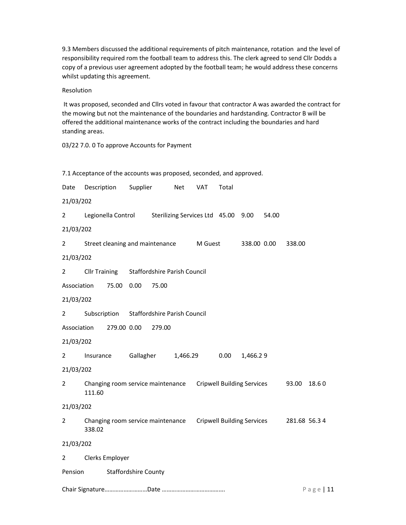9.3 Members discussed the additional requirements of pitch maintenance, rotation and the level of responsibility required rom the football team to address this. The clerk agreed to send Cllr Dodds a copy of a previous user agreement adopted by the football team; he would address these concerns whilst updating this agreement.

Resolution

 It was proposed, seconded and Cllrs voted in favour that contractor A was awarded the contract for the mowing but not the maintenance of the boundaries and hardstanding. Contractor B will be offered the additional maintenance works of the contract including the boundaries and hard standing areas.

03/22 7.0. 0 To approve Accounts for Payment

|                                        | 7.1 Acceptance of the accounts was proposed, seconded, and approved.    |  |          |                              |     |         |              |             |       |               |  |
|----------------------------------------|-------------------------------------------------------------------------|--|----------|------------------------------|-----|---------|--------------|-------------|-------|---------------|--|
| Date                                   | Description                                                             |  | Supplier |                              | Net | VAT     | Total        |             |       |               |  |
| 21/03/202                              |                                                                         |  |          |                              |     |         |              |             |       |               |  |
| $\overline{2}$                         | Legionella Control Sterilizing Services Ltd 45.00 9.00                  |  |          |                              |     |         |              |             | 54.00 |               |  |
| 21/03/202                              |                                                                         |  |          |                              |     |         |              |             |       |               |  |
| $\overline{2}$                         | Street cleaning and maintenance                                         |  |          |                              |     | M Guest |              | 338.00 0.00 |       | 338.00        |  |
| 21/03/202                              |                                                                         |  |          |                              |     |         |              |             |       |               |  |
| $\overline{2}$                         | <b>Cllr Training</b>                                                    |  |          | Staffordshire Parish Council |     |         |              |             |       |               |  |
|                                        | 75.00 0.00<br>Association<br>75.00                                      |  |          |                              |     |         |              |             |       |               |  |
| 21/03/202                              |                                                                         |  |          |                              |     |         |              |             |       |               |  |
| $\overline{2}$                         | Subscription Staffordshire Parish Council                               |  |          |                              |     |         |              |             |       |               |  |
|                                        | Association<br>279.00 0.00<br>279.00                                    |  |          |                              |     |         |              |             |       |               |  |
| 21/03/202                              |                                                                         |  |          |                              |     |         |              |             |       |               |  |
| 2                                      | Insurance                                                               |  |          | Gallagher 1,466.29           |     |         | 0.00         | 1,466.29    |       |               |  |
| 21/03/202                              |                                                                         |  |          |                              |     |         |              |             |       |               |  |
| $\overline{2}$                         | Changing room service maintenance  Cripwell Building Services<br>111.60 |  |          |                              |     |         |              |             |       | 93.00 18.60   |  |
| 21/03/202                              |                                                                         |  |          |                              |     |         |              |             |       |               |  |
| $\overline{2}$                         | Changing room service maintenance  Cripwell Building Services<br>338.02 |  |          |                              |     |         |              |             |       | 281.68 56.3 4 |  |
| 21/03/202                              |                                                                         |  |          |                              |     |         |              |             |       |               |  |
| $\mathbf{2}$                           | Clerks Employer                                                         |  |          |                              |     |         |              |             |       |               |  |
| <b>Staffordshire County</b><br>Pension |                                                                         |  |          |                              |     |         |              |             |       |               |  |
|                                        |                                                                         |  |          |                              |     |         | $P$ age   11 |             |       |               |  |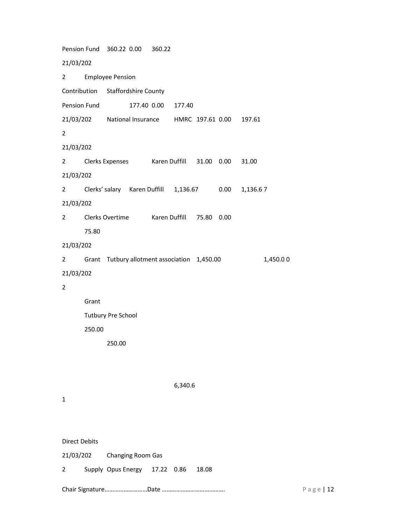Pension Fund 360.22 0.00 360.22 21/03/202 2 Employee Pension Contribution Staffordshire County Pension Fund 177.40 0.00 177.40 21/03/202 National Insurance HMRC 197.61 0.00 197.61 2 21/03/202 2 Clerks Expenses Karen Duffill 31.00 0.00 31.00 21/03/202 2 Clerks' salary Karen Duffill 1,136.67 0.00 1,136.6 7 21/03/202 2 Clerks Overtime Karen Duffill 75.80 0.00 75.80 21/03/202 2 Grant Tutbury allotment association 1,450.00 1,450.0 0 21/03/202 2 Grant Tutbury Pre School 250.00

250.00

1

Direct Debits

|                     |  | 21/03/202 Changing Room Gas         |  |  |  |  |  |  |
|---------------------|--|-------------------------------------|--|--|--|--|--|--|
| $\overline{2}$      |  | Supply Opus Energy 17.22 0.86 18.08 |  |  |  |  |  |  |
| Chair SignatureDate |  |                                     |  |  |  |  |  |  |

6,340.6